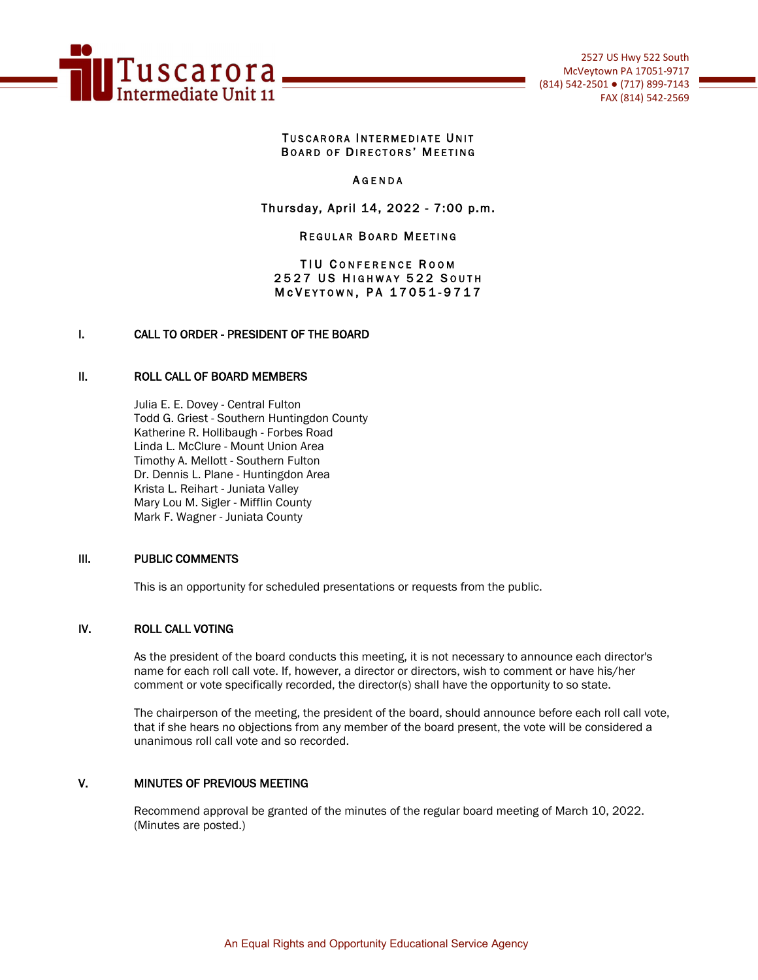

### TUSCARORA INTERMEDIATE UNIT BOARD OF DIRECTORS' MEETING

### **AGENDA**

### Thursday, April 14, 2022 - 7:00 p.m.

### **REGULAR BOARD MEETING**

### TIU CONFERENCE ROOM 2527 US HIGHWAY 522 SOUTH M c V E Y T O W N, P A 17051-9717

### I. CALL TO ORDER - PRESIDENT OF THE BOARD

#### II. ROLL CALL OF BOARD MEMBERS

Julia E. E. Dovey - Central Fulton Todd G. Griest - Southern Huntingdon County Katherine R. Hollibaugh - Forbes Road Linda L. McClure - Mount Union Area Timothy A. Mellott - Southern Fulton Dr. Dennis L. Plane - Huntingdon Area Krista L. Reihart - Juniata Valley Mary Lou M. Sigler - Mifflin County Mark F. Wagner - Juniata County

### III. PUBLIC COMMENTS

This is an opportunity for scheduled presentations or requests from the public.

#### IV. ROLL CALL VOTING

As the president of the board conducts this meeting, it is not necessary to announce each director's name for each roll call vote. If, however, a director or directors, wish to comment or have his/her comment or vote specifically recorded, the director(s) shall have the opportunity to so state.

The chairperson of the meeting, the president of the board, should announce before each roll call vote, that if she hears no objections from any member of the board present, the vote will be considered a unanimous roll call vote and so recorded.

## V. MINUTES OF PREVIOUS MEETING

Recommend approval be granted of the minutes of the regular board meeting of March 10, 2022. (Minutes are posted.)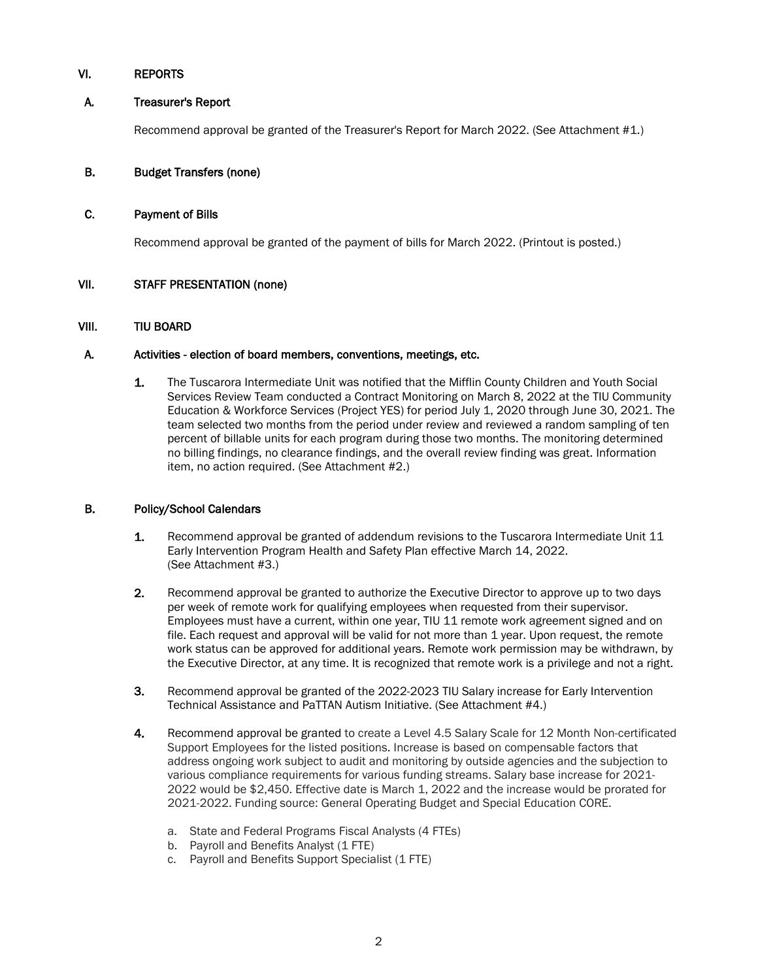## VI. REPORTS

## A. Treasurer's Report

Recommend approval be granted of the Treasurer's Report for March 2022. (See Attachment #1.)

## B. Budget Transfers (none)

### C. Payment of Bills

Recommend approval be granted of the payment of bills for March 2022. (Printout is posted.)

## VII. STAFF PRESENTATION (none)

### VIII. TIU BOARD

## A. Activities - election of board members, conventions, meetings, etc.

1. The Tuscarora Intermediate Unit was notified that the Mifflin County Children and Youth Social Services Review Team conducted a Contract Monitoring on March 8, 2022 at the TIU Community Education & Workforce Services (Project YES) for period July 1, 2020 through June 30, 2021. The team selected two months from the period under review and reviewed a random sampling of ten percent of billable units for each program during those two months. The monitoring determined no billing findings, no clearance findings, and the overall review finding was great. Information item, no action required. (See Attachment #2.)

### B. Policy/School Calendars

- 1. Recommend approval be granted of addendum revisions to the Tuscarora Intermediate Unit 11 Early Intervention Program Health and Safety Plan effective March 14, 2022. (See Attachment #3.)
- 2. Recommend approval be granted to authorize the Executive Director to approve up to two days per week of remote work for qualifying employees when requested from their supervisor. Employees must have a current, within one year, TIU 11 remote work agreement signed and on file. Each request and approval will be valid for not more than 1 year. Upon request, the remote work status can be approved for additional years. Remote work permission may be withdrawn, by the Executive Director, at any time. It is recognized that remote work is a privilege and not a right.
- 3. Recommend approval be granted of the 2022-2023 TIU Salary increase for Early Intervention Technical Assistance and PaTTAN Autism Initiative. (See Attachment #4.)
- 4. Recommend approval be granted to create a Level 4.5 Salary Scale for 12 Month Non-certificated Support Employees for the listed positions. Increase is based on compensable factors that address ongoing work subject to audit and monitoring by outside agencies and the subjection to various compliance requirements for various funding streams. Salary base increase for 2021- 2022 would be \$2,450. Effective date is March 1, 2022 and the increase would be prorated for 2021-2022. Funding source: General Operating Budget and Special Education CORE.
	- a. State and Federal Programs Fiscal Analysts (4 FTEs)
	- b. Payroll and Benefits Analyst (1 FTE)
	- c. Payroll and Benefits Support Specialist (1 FTE)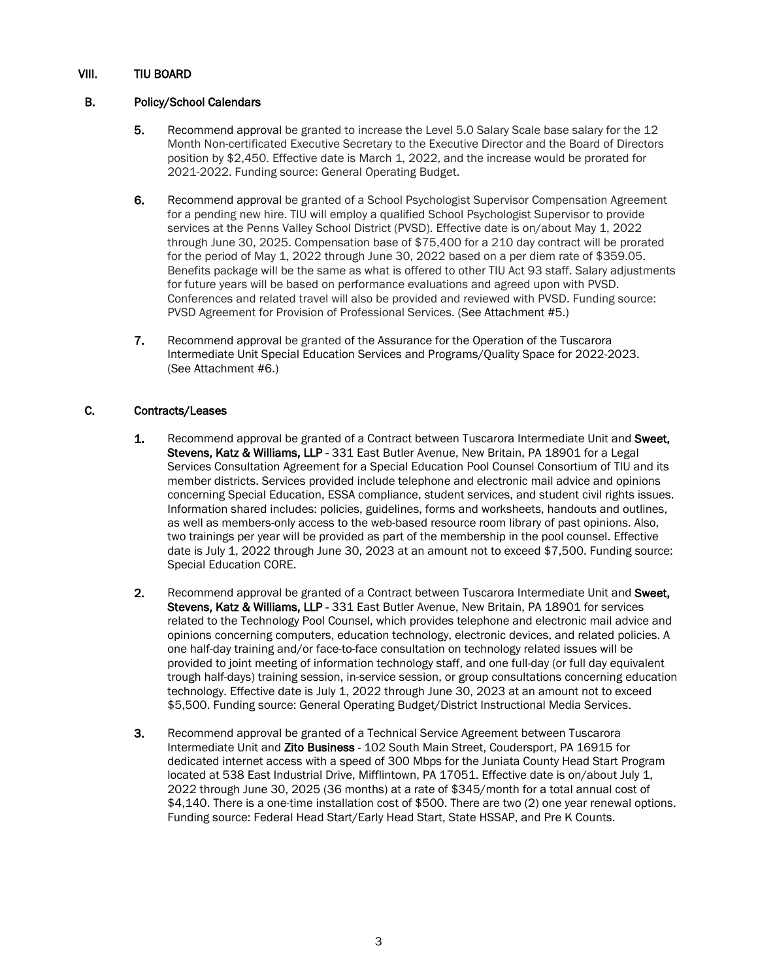## VIII. TIU BOARD

## B. Policy/School Calendars

- 5. Recommend approval be granted to increase the Level 5.0 Salary Scale base salary for the 12 Month Non-certificated Executive Secretary to the Executive Director and the Board of Directors position by \$2,450. Effective date is March 1, 2022, and the increase would be prorated for 2021-2022. Funding source: General Operating Budget.
- 6. Recommend approval be granted of a School Psychologist Supervisor Compensation Agreement for a pending new hire. TIU will employ a qualified School Psychologist Supervisor to provide services at the Penns Valley School District (PVSD). Effective date is on/about May 1, 2022 through June 30, 2025. Compensation base of \$75,400 for a 210 day contract will be prorated for the period of May 1, 2022 through June 30, 2022 based on a per diem rate of \$359.05. Benefits package will be the same as what is offered to other TIU Act 93 staff. Salary adjustments for future years will be based on performance evaluations and agreed upon with PVSD. Conferences and related travel will also be provided and reviewed with PVSD. Funding source: PVSD Agreement for Provision of Professional Services. (See Attachment #5.)
- 7. Recommend approval be granted of the Assurance for the Operation of the Tuscarora Intermediate Unit Special Education Services and Programs/Quality Space for 2022-2023. (See Attachment #6.)

### C. Contracts/Leases

- 1. Recommend approval be granted of a Contract between Tuscarora Intermediate Unit and Sweet, Stevens, Katz & Williams, LLP - 331 East Butler Avenue, New Britain, PA 18901 for a Legal Services Consultation Agreement for a Special Education Pool Counsel Consortium of TIU and its member districts. Services provided include telephone and electronic mail advice and opinions concerning Special Education, ESSA compliance, student services, and student civil rights issues. Information shared includes: policies, guidelines, forms and worksheets, handouts and outlines, as well as members-only access to the web-based resource room library of past opinions. Also, two trainings per year will be provided as part of the membership in the pool counsel. Effective date is July 1, 2022 through June 30, 2023 at an amount not to exceed \$7,500. Funding source: Special Education CORE.
- 2. Recommend approval be granted of a Contract between Tuscarora Intermediate Unit and Sweet, Stevens, Katz & Williams, LLP - 331 East Butler Avenue, New Britain, PA 18901 for services related to the Technology Pool Counsel, which provides telephone and electronic mail advice and opinions concerning computers, education technology, electronic devices, and related policies. A one half-day training and/or face-to-face consultation on technology related issues will be provided to joint meeting of information technology staff, and one full-day (or full day equivalent trough half-days) training session, in-service session, or group consultations concerning education technology. Effective date is July 1, 2022 through June 30, 2023 at an amount not to exceed \$5,500. Funding source: General Operating Budget/District Instructional Media Services.
- 3. Recommend approval be granted of a Technical Service Agreement between Tuscarora Intermediate Unit and Zito Business - 102 South Main Street, Coudersport, PA 16915 for dedicated internet access with a speed of 300 Mbps for the Juniata County Head Start Program located at 538 East Industrial Drive, Mifflintown, PA 17051. Effective date is on/about July 1, 2022 through June 30, 2025 (36 months) at a rate of \$345/month for a total annual cost of \$4,140. There is a one-time installation cost of \$500. There are two (2) one year renewal options. Funding source: Federal Head Start/Early Head Start, State HSSAP, and Pre K Counts.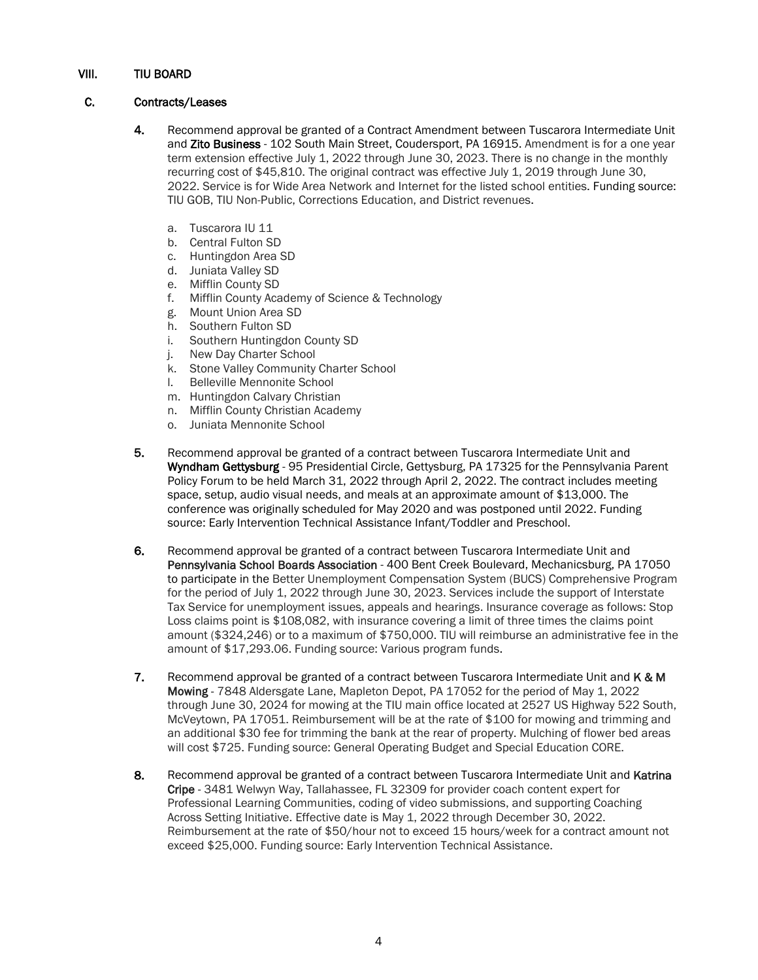## VIII. TIU BOARD

### C. Contracts/Leases

- 4. Recommend approval be granted of a Contract Amendment between Tuscarora Intermediate Unit and Zito Business - 102 South Main Street, Coudersport, PA 16915. Amendment is for a one year term extension effective July 1, 2022 through June 30, 2023. There is no change in the monthly recurring cost of \$45,810. The original contract was effective July 1, 2019 through June 30, 2022. Service is for Wide Area Network and Internet for the listed school entities. Funding source: TIU GOB, TIU Non-Public, Corrections Education, and District revenues.
	- a. Tuscarora IU 11
	- b. Central Fulton SD
	- c. Huntingdon Area SD
	- d. Juniata Valley SD
	- e. Mifflin County SD
	- f. Mifflin County Academy of Science & Technology
	- g. Mount Union Area SD
	- h. Southern Fulton SD
	- i. Southern Huntingdon County SD
	- j. New Day Charter School
	- k. Stone Valley Community Charter School
	- l. Belleville Mennonite School
	- m. Huntingdon Calvary Christian
	- n. Mifflin County Christian Academy
	- o. Juniata Mennonite School
- 5. Recommend approval be granted of a contract between Tuscarora Intermediate Unit and Wyndham Gettysburg - 95 Presidential Circle, Gettysburg, PA 17325 for the Pennsylvania Parent Policy Forum to be held March 31, 2022 through April 2, 2022. The contract includes meeting space, setup, audio visual needs, and meals at an approximate amount of \$13,000. The conference was originally scheduled for May 2020 and was postponed until 2022. Funding source: Early Intervention Technical Assistance Infant/Toddler and Preschool.
- 6. Recommend approval be granted of a contract between Tuscarora Intermediate Unit and Pennsylvania School Boards Association - 400 Bent Creek Boulevard, Mechanicsburg, PA 17050 to participate in the Better Unemployment Compensation System (BUCS) Comprehensive Program for the period of July 1, 2022 through June 30, 2023. Services include the support of Interstate Tax Service for unemployment issues, appeals and hearings. Insurance coverage as follows: Stop Loss claims point is \$108,082, with insurance covering a limit of three times the claims point amount (\$324,246) or to a maximum of \$750,000. TIU will reimburse an administrative fee in the amount of \$17,293.06. Funding source: Various program funds.
- 7. Recommend approval be granted of a contract between Tuscarora Intermediate Unit and K & M Mowing - 7848 Aldersgate Lane, Mapleton Depot, PA 17052 for the period of May 1, 2022 through June 30, 2024 for mowing at the TIU main office located at 2527 US Highway 522 South, McVeytown, PA 17051. Reimbursement will be at the rate of \$100 for mowing and trimming and an additional \$30 fee for trimming the bank at the rear of property. Mulching of flower bed areas will cost \$725. Funding source: General Operating Budget and Special Education CORE.
- 8. Recommend approval be granted of a contract between Tuscarora Intermediate Unit and Katrina Cripe - 3481 Welwyn Way, Tallahassee, FL 32309 for provider coach content expert for Professional Learning Communities, coding of video submissions, and supporting Coaching Across Setting Initiative. Effective date is May 1, 2022 through December 30, 2022. Reimbursement at the rate of \$50/hour not to exceed 15 hours/week for a contract amount not exceed \$25,000. Funding source: Early Intervention Technical Assistance.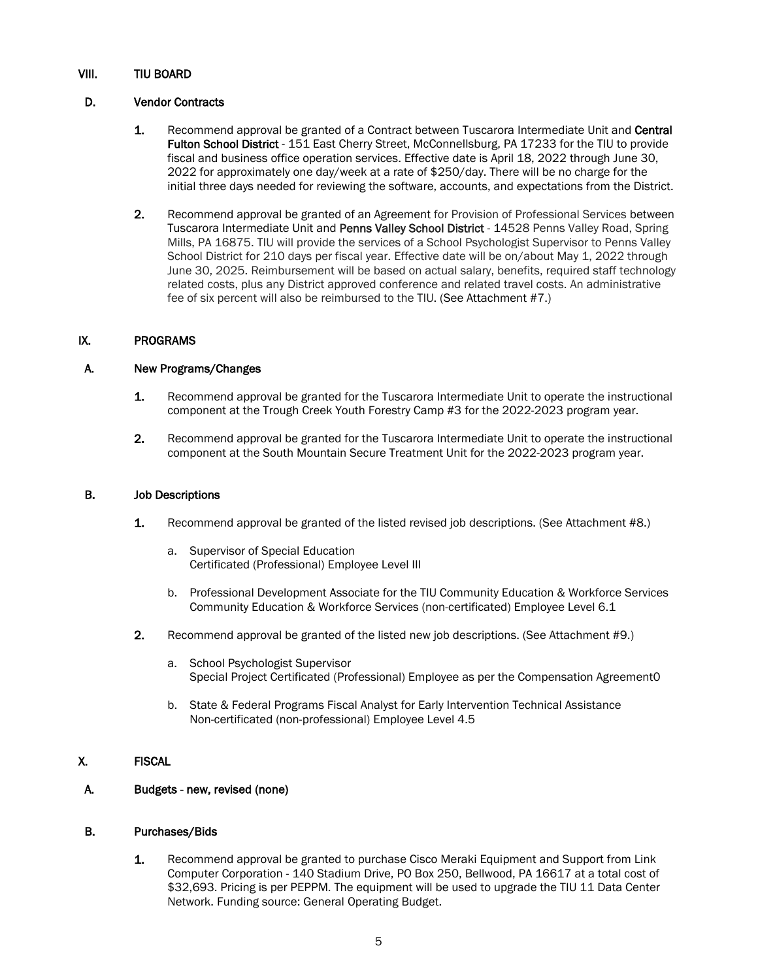## VIII. TIU BOARD

### D. Vendor Contracts

- 1. Recommend approval be granted of a Contract between Tuscarora Intermediate Unit and Central Fulton School District - 151 East Cherry Street, McConnellsburg, PA 17233 for the TIU to provide fiscal and business office operation services. Effective date is April 18, 2022 through June 30, 2022 for approximately one day/week at a rate of \$250/day. There will be no charge for the initial three days needed for reviewing the software, accounts, and expectations from the District.
- 2. Recommend approval be granted of an Agreement for Provision of Professional Services between Tuscarora Intermediate Unit and Penns Valley School District - 14528 Penns Valley Road, Spring Mills, PA 16875. TIU will provide the services of a School Psychologist Supervisor to Penns Valley School District for 210 days per fiscal year. Effective date will be on/about May 1, 2022 through June 30, 2025. Reimbursement will be based on actual salary, benefits, required staff technology related costs, plus any District approved conference and related travel costs. An administrative fee of six percent will also be reimbursed to the TIU. (See Attachment #7.)

## IX. PROGRAMS

## A. New Programs/Changes

- 1. Recommend approval be granted for the Tuscarora Intermediate Unit to operate the instructional component at the Trough Creek Youth Forestry Camp #3 for the 2022-2023 program year.
- 2. Recommend approval be granted for the Tuscarora Intermediate Unit to operate the instructional component at the South Mountain Secure Treatment Unit for the 2022-2023 program year.

### B. Job Descriptions

- 1. Recommend approval be granted of the listed revised job descriptions. (See Attachment #8.)
	- a. Supervisor of Special Education Certificated (Professional) Employee Level III
	- b. Professional Development Associate for the TIU Community Education & Workforce Services Community Education & Workforce Services (non-certificated) Employee Level 6.1
- 2. Recommend approval be granted of the listed new job descriptions. (See Attachment #9.)
	- a. School Psychologist Supervisor Special Project Certificated (Professional) Employee as per the Compensation Agreement0
	- b. State & Federal Programs Fiscal Analyst for Early Intervention Technical Assistance Non-certificated (non-professional) Employee Level 4.5

### X. FISCAL

### A. Budgets - new, revised (none)

### B. Purchases/Bids

1. Recommend approval be granted to purchase Cisco Meraki Equipment and Support from Link Computer Corporation - 140 Stadium Drive, PO Box 250, Bellwood, PA 16617 at a total cost of \$32,693. Pricing is per PEPPM. The equipment will be used to upgrade the TIU 11 Data Center Network. Funding source: General Operating Budget.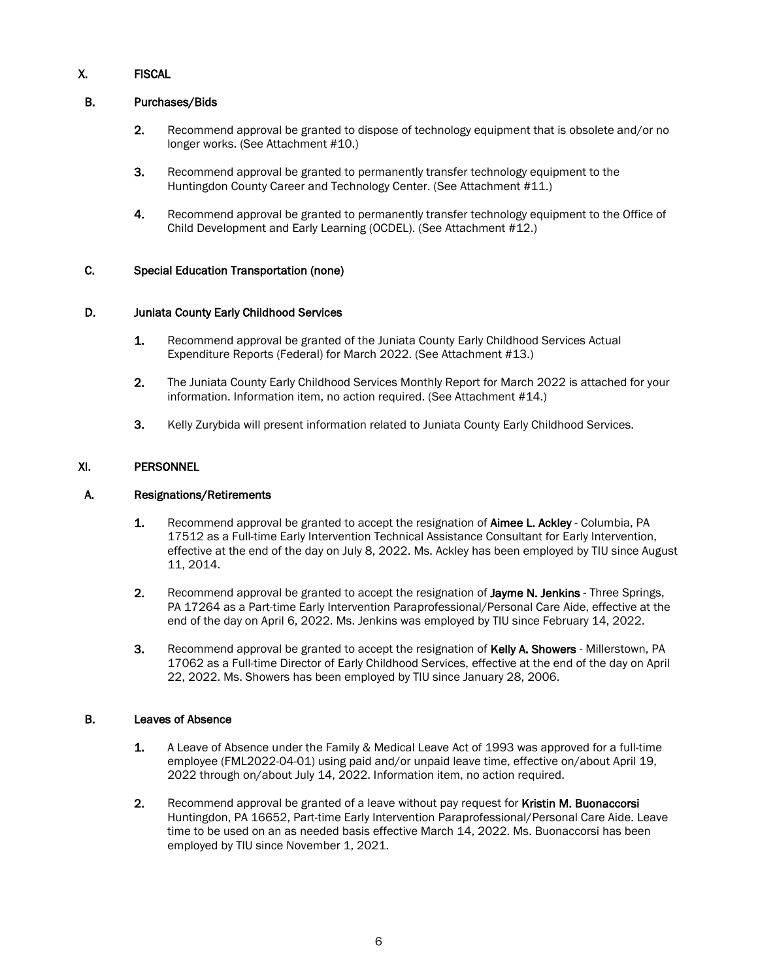# X. FISCAL

## B. Purchases/Bids

- 2. Recommend approval be granted to dispose of technology equipment that is obsolete and/or no longer works. (See Attachment #10.)
- 3. Recommend approval be granted to permanently transfer technology equipment to the Huntingdon County Career and Technology Center. (See Attachment #11.)
- 4. Recommend approval be granted to permanently transfer technology equipment to the Office of Child Development and Early Learning (OCDEL). (See Attachment #12.)

## C. Special Education Transportation (none)

### D. Juniata County Early Childhood Services

- 1. Recommend approval be granted of the Juniata County Early Childhood Services Actual Expenditure Reports (Federal) for March 2022. (See Attachment #13.)
- 2. The Juniata County Early Childhood Services Monthly Report for March 2022 is attached for your information. Information item, no action required. (See Attachment #14.)
- 3. Kelly Zurybida will present information related to Juniata County Early Childhood Services.

## XI. PERSONNEL

### A. Resignations/Retirements

- 1. Recommend approval be granted to accept the resignation of Aimee L. Ackley Columbia, PA 17512 as a Full-time Early Intervention Technical Assistance Consultant for Early Intervention, effective at the end of the day on July 8, 2022. Ms. Ackley has been employed by TIU since August 11, 2014.
- 2. Recommend approval be granted to accept the resignation of Jayme N. Jenkins Three Springs, PA 17264 as a Part-time Early Intervention Paraprofessional/Personal Care Aide, effective at the end of the day on April 6, 2022. Ms. Jenkins was employed by TIU since February 14, 2022.
- 3. Recommend approval be granted to accept the resignation of Kelly A. Showers Millerstown, PA 17062 as a Full-time Director of Early Childhood Services, effective at the end of the day on April 22, 2022. Ms. Showers has been employed by TIU since January 28, 2006.

### B. Leaves of Absence

- 1. A Leave of Absence under the Family & Medical Leave Act of 1993 was approved for a full-time employee (FML2022-04-01) using paid and/or unpaid leave time, effective on/about April 19, 2022 through on/about July 14, 2022. Information item, no action required.
- 2. Recommend approval be granted of a leave without pay request for Kristin M. Buonaccorsi Huntingdon, PA 16652, Part-time Early Intervention Paraprofessional/Personal Care Aide. Leave time to be used on an as needed basis effective March 14, 2022. Ms. Buonaccorsi has been employed by TIU since November 1, 2021.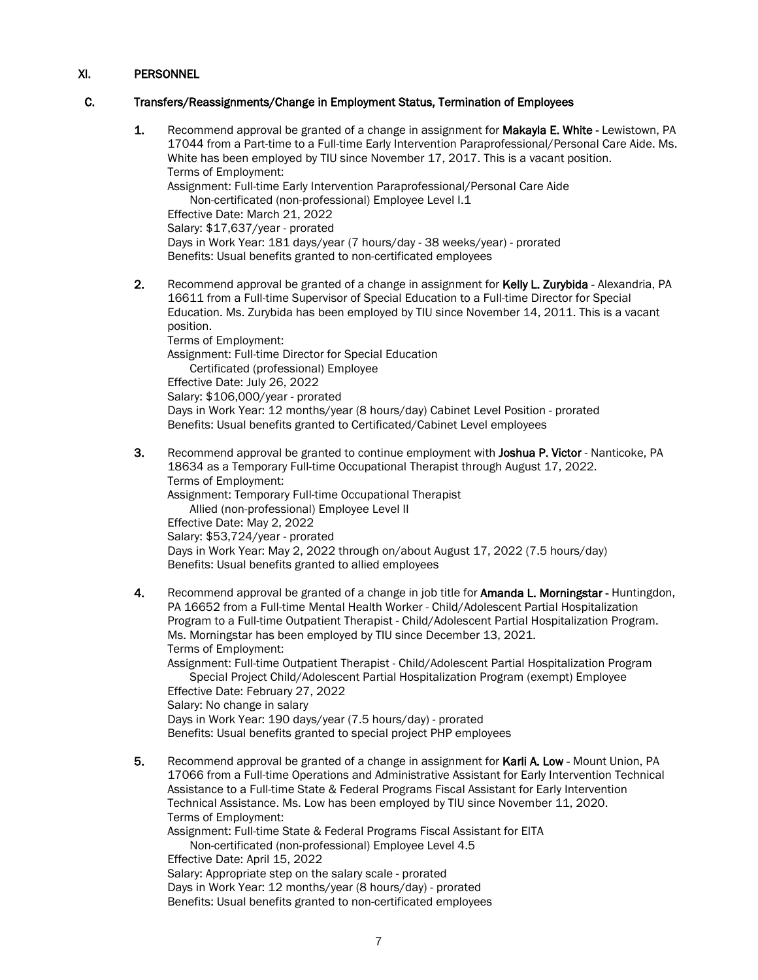### C. Transfers/Reassignments/Change in Employment Status, Termination of Employees

1. Recommend approval be granted of a change in assignment for Makayla E. White - Lewistown, PA 17044 from a Part-time to a Full-time Early Intervention Paraprofessional/Personal Care Aide. Ms. White has been employed by TIU since November 17, 2017. This is a vacant position. Terms of Employment: Assignment: Full-time Early Intervention Paraprofessional/Personal Care Aide Non-certificated (non-professional) Employee Level I.1 Effective Date: March 21, 2022 Salary: \$17,637/year - prorated Days in Work Year: 181 days/year (7 hours/day - 38 weeks/year) - prorated Benefits: Usual benefits granted to non-certificated employees 2. Recommend approval be granted of a change in assignment for Kelly L. Zurybida - Alexandria, PA 16611 from a Full-time Supervisor of Special Education to a Full-time Director for Special Education. Ms. Zurybida has been employed by TIU since November 14, 2011. This is a vacant position. Terms of Employment:

Assignment: Full-time Director for Special Education Certificated (professional) Employee Effective Date: July 26, 2022 Salary: \$106,000/year - prorated Days in Work Year: 12 months/year (8 hours/day) Cabinet Level Position - prorated Benefits: Usual benefits granted to Certificated/Cabinet Level employees

- 3. Recommend approval be granted to continue employment with Joshua P. Victor Nanticoke, PA 18634 as a Temporary Full-time Occupational Therapist through August 17, 2022. Terms of Employment: Assignment: Temporary Full-time Occupational Therapist Allied (non-professional) Employee Level II Effective Date: May 2, 2022 Salary: \$53,724/year - prorated Days in Work Year: May 2, 2022 through on/about August 17, 2022 (7.5 hours/day) Benefits: Usual benefits granted to allied employees
- 4. Recommend approval be granted of a change in job title for **Amanda L. Morningstar** Huntingdon, PA 16652 from a Full-time Mental Health Worker - Child/Adolescent Partial Hospitalization Program to a Full-time Outpatient Therapist - Child/Adolescent Partial Hospitalization Program. Ms. Morningstar has been employed by TIU since December 13, 2021. Terms of Employment: Assignment: Full-time Outpatient Therapist - Child/Adolescent Partial Hospitalization Program Special Project Child/Adolescent Partial Hospitalization Program (exempt) Employee Effective Date: February 27, 2022 Salary: No change in salary Days in Work Year: 190 days/year (7.5 hours/day) - prorated Benefits: Usual benefits granted to special project PHP employees
- 5. Recommend approval be granted of a change in assignment for Karli A. Low Mount Union, PA 17066 from a Full-time Operations and Administrative Assistant for Early Intervention Technical Assistance to a Full-time State & Federal Programs Fiscal Assistant for Early Intervention Technical Assistance. Ms. Low has been employed by TIU since November 11, 2020. Terms of Employment: Assignment: Full-time State & Federal Programs Fiscal Assistant for EITA Non-certificated (non-professional) Employee Level 4.5 Effective Date: April 15, 2022

Salary: Appropriate step on the salary scale - prorated Days in Work Year: 12 months/year (8 hours/day) - prorated Benefits: Usual benefits granted to non-certificated employees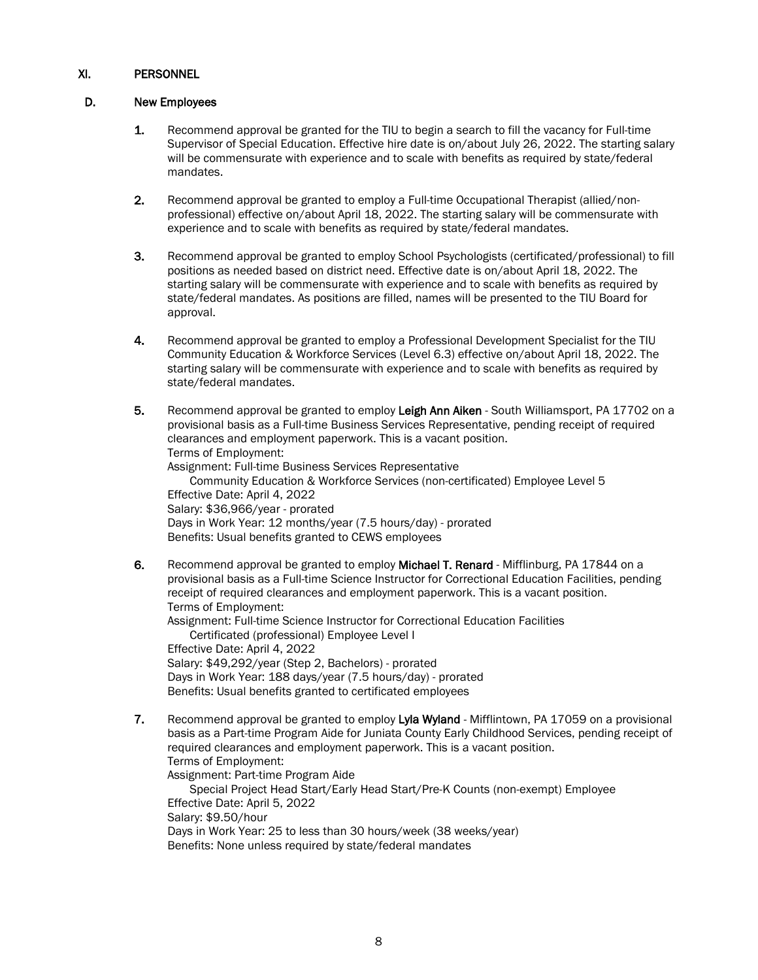### D. New Employees

- 1. Recommend approval be granted for the TIU to begin a search to fill the vacancy for Full-time Supervisor of Special Education. Effective hire date is on/about July 26, 2022. The starting salary will be commensurate with experience and to scale with benefits as required by state/federal mandates.
- 2. Recommend approval be granted to employ a Full-time Occupational Therapist (allied/nonprofessional) effective on/about April 18, 2022. The starting salary will be commensurate with experience and to scale with benefits as required by state/federal mandates.
- 3. Recommend approval be granted to employ School Psychologists (certificated/professional) to fill positions as needed based on district need. Effective date is on/about April 18, 2022. The starting salary will be commensurate with experience and to scale with benefits as required by state/federal mandates. As positions are filled, names will be presented to the TIU Board for approval.
- 4. Recommend approval be granted to employ a Professional Development Specialist for the TIU Community Education & Workforce Services (Level 6.3) effective on/about April 18, 2022. The starting salary will be commensurate with experience and to scale with benefits as required by state/federal mandates.
- 5. Recommend approval be granted to employ Leigh Ann Aiken South Williamsport, PA 17702 on a provisional basis as a Full-time Business Services Representative, pending receipt of required clearances and employment paperwork. This is a vacant position. Terms of Employment: Assignment: Full-time Business Services Representative Community Education & Workforce Services (non-certificated) Employee Level 5 Effective Date: April 4, 2022 Salary: \$36,966/year - prorated Days in Work Year: 12 months/year (7.5 hours/day) - prorated Benefits: Usual benefits granted to CEWS employees
- 6. Recommend approval be granted to employ Michael T. Renard Mifflinburg, PA 17844 on a provisional basis as a Full-time Science Instructor for Correctional Education Facilities, pending receipt of required clearances and employment paperwork. This is a vacant position. Terms of Employment:

Assignment: Full-time Science Instructor for Correctional Education Facilities Certificated (professional) Employee Level I Effective Date: April 4, 2022 Salary: \$49,292/year (Step 2, Bachelors) - prorated Days in Work Year: 188 days/year (7.5 hours/day) - prorated Benefits: Usual benefits granted to certificated employees

7. Recommend approval be granted to employ Lyla Wyland - Mifflintown, PA 17059 on a provisional basis as a Part-time Program Aide for Juniata County Early Childhood Services, pending receipt of required clearances and employment paperwork. This is a vacant position. Terms of Employment: Assignment: Part-time Program Aide Special Project Head Start/Early Head Start/Pre-K Counts (non-exempt) Employee Effective Date: April 5, 2022 Salary: \$9.50/hour Days in Work Year: 25 to less than 30 hours/week (38 weeks/year) Benefits: None unless required by state/federal mandates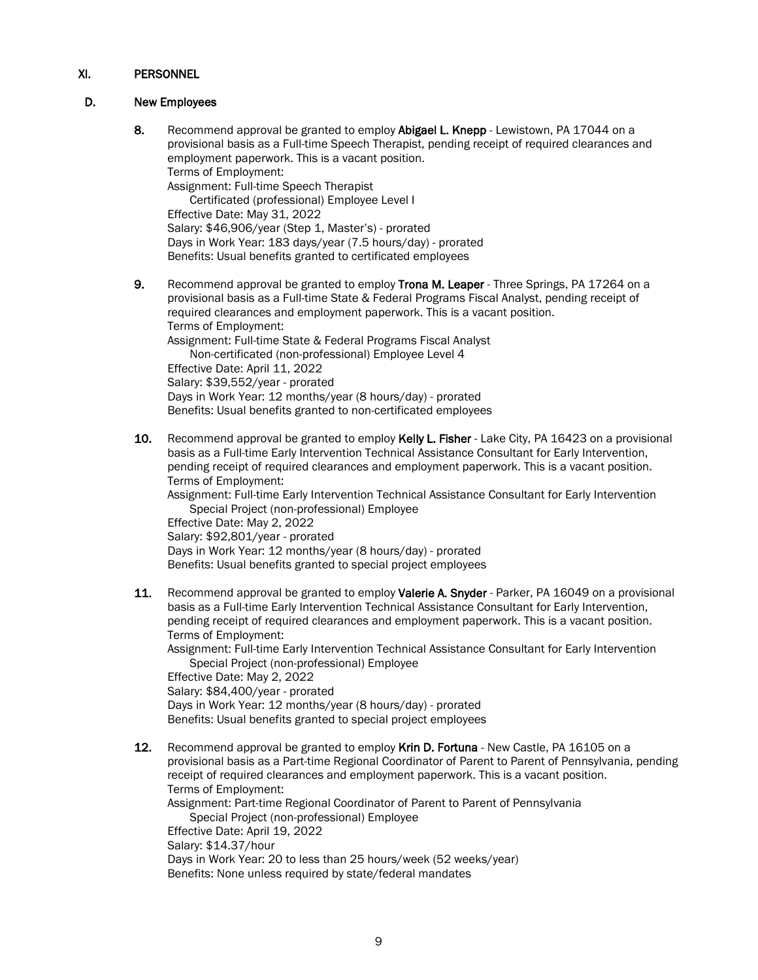### D. New Employees

- 8. Recommend approval be granted to employ Abigael L. Knepp Lewistown, PA 17044 on a provisional basis as a Full-time Speech Therapist, pending receipt of required clearances and employment paperwork. This is a vacant position. Terms of Employment: Assignment: Full-time Speech Therapist Certificated (professional) Employee Level I Effective Date: May 31, 2022 Salary: \$46,906/year (Step 1, Master's) - prorated Days in Work Year: 183 days/year (7.5 hours/day) - prorated Benefits: Usual benefits granted to certificated employees 9. Recommend approval be granted to employ Trona M. Leaper - Three Springs, PA 17264 on a
- provisional basis as a Full-time State & Federal Programs Fiscal Analyst, pending receipt of required clearances and employment paperwork. This is a vacant position. Terms of Employment: Assignment: Full-time State & Federal Programs Fiscal Analyst Non-certificated (non-professional) Employee Level 4 Effective Date: April 11, 2022 Salary: \$39,552/year - prorated Days in Work Year: 12 months/year (8 hours/day) - prorated Benefits: Usual benefits granted to non-certificated employees
- 10. Recommend approval be granted to employ Kelly L. Fisher Lake City, PA 16423 on a provisional basis as a Full-time Early Intervention Technical Assistance Consultant for Early Intervention, pending receipt of required clearances and employment paperwork. This is a vacant position. Terms of Employment:

Assignment: Full-time Early Intervention Technical Assistance Consultant for Early Intervention Special Project (non-professional) Employee

Effective Date: May 2, 2022 Salary: \$92,801/year - prorated Days in Work Year: 12 months/year (8 hours/day) - prorated Benefits: Usual benefits granted to special project employees

11. Recommend approval be granted to employ Valerie A. Snyder - Parker, PA 16049 on a provisional basis as a Full-time Early Intervention Technical Assistance Consultant for Early Intervention, pending receipt of required clearances and employment paperwork. This is a vacant position. Terms of Employment:

Assignment: Full-time Early Intervention Technical Assistance Consultant for Early Intervention Special Project (non-professional) Employee

Effective Date: May 2, 2022 Salary: \$84,400/year - prorated Days in Work Year: 12 months/year (8 hours/day) - prorated Benefits: Usual benefits granted to special project employees

12. Recommend approval be granted to employ Krin D. Fortuna - New Castle, PA 16105 on a provisional basis as a Part-time Regional Coordinator of Parent to Parent of Pennsylvania, pending receipt of required clearances and employment paperwork. This is a vacant position. Terms of Employment: Assignment: Part-time Regional Coordinator of Parent to Parent of Pennsylvania Special Project (non-professional) Employee Effective Date: April 19, 2022 Salary: \$14.37/hour

Days in Work Year: 20 to less than 25 hours/week (52 weeks/year) Benefits: None unless required by state/federal mandates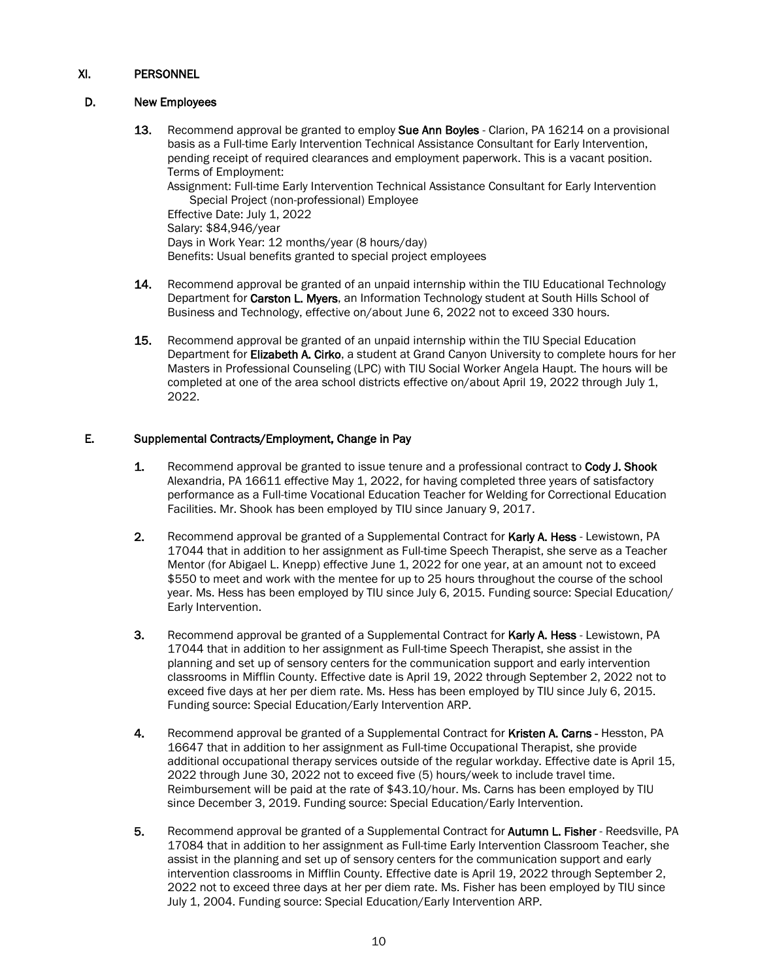# D. New Employees

- 13. Recommend approval be granted to employ Sue Ann Boyles Clarion, PA 16214 on a provisional basis as a Full-time Early Intervention Technical Assistance Consultant for Early Intervention, pending receipt of required clearances and employment paperwork. This is a vacant position. Terms of Employment: Assignment: Full-time Early Intervention Technical Assistance Consultant for Early Intervention Special Project (non-professional) Employee Effective Date: July 1, 2022 Salary: \$84,946/year Days in Work Year: 12 months/year (8 hours/day) Benefits: Usual benefits granted to special project employees
- 14. Recommend approval be granted of an unpaid internship within the TIU Educational Technology Department for Carston L. Myers, an Information Technology student at South Hills School of Business and Technology, effective on/about June 6, 2022 not to exceed 330 hours.
- 15. Recommend approval be granted of an unpaid internship within the TIU Special Education Department for Elizabeth A. Cirko, a student at Grand Canyon University to complete hours for her Masters in Professional Counseling (LPC) with TIU Social Worker Angela Haupt. The hours will be completed at one of the area school districts effective on/about April 19, 2022 through July 1, 2022.

# E. Supplemental Contracts/Employment, Change in Pay

- 1. Recommend approval be granted to issue tenure and a professional contract to Cody J. Shook Alexandria, PA 16611 effective May 1, 2022, for having completed three years of satisfactory performance as a Full-time Vocational Education Teacher for Welding for Correctional Education Facilities. Mr. Shook has been employed by TIU since January 9, 2017.
- 2. Recommend approval be granted of a Supplemental Contract for Karly A. Hess Lewistown, PA 17044 that in addition to her assignment as Full-time Speech Therapist, she serve as a Teacher Mentor (for Abigael L. Knepp) effective June 1, 2022 for one year, at an amount not to exceed \$550 to meet and work with the mentee for up to 25 hours throughout the course of the school year. Ms. Hess has been employed by TIU since July 6, 2015. Funding source: Special Education/ Early Intervention.
- 3. Recommend approval be granted of a Supplemental Contract for Karly A. Hess Lewistown, PA 17044 that in addition to her assignment as Full-time Speech Therapist, she assist in the planning and set up of sensory centers for the communication support and early intervention classrooms in Mifflin County. Effective date is April 19, 2022 through September 2, 2022 not to exceed five days at her per diem rate. Ms. Hess has been employed by TIU since July 6, 2015. Funding source: Special Education/Early Intervention ARP.
- 4. Recommend approval be granted of a Supplemental Contract for Kristen A. Carns Hesston, PA 16647 that in addition to her assignment as Full-time Occupational Therapist, she provide additional occupational therapy services outside of the regular workday. Effective date is April 15, 2022 through June 30, 2022 not to exceed five (5) hours/week to include travel time. Reimbursement will be paid at the rate of \$43.10/hour. Ms. Carns has been employed by TIU since December 3, 2019. Funding source: Special Education/Early Intervention.
- 5. Recommend approval be granted of a Supplemental Contract for Autumn L. Fisher Reedsville, PA 17084 that in addition to her assignment as Full-time Early Intervention Classroom Teacher, she assist in the planning and set up of sensory centers for the communication support and early intervention classrooms in Mifflin County. Effective date is April 19, 2022 through September 2, 2022 not to exceed three days at her per diem rate. Ms. Fisher has been employed by TIU since July 1, 2004. Funding source: Special Education/Early Intervention ARP.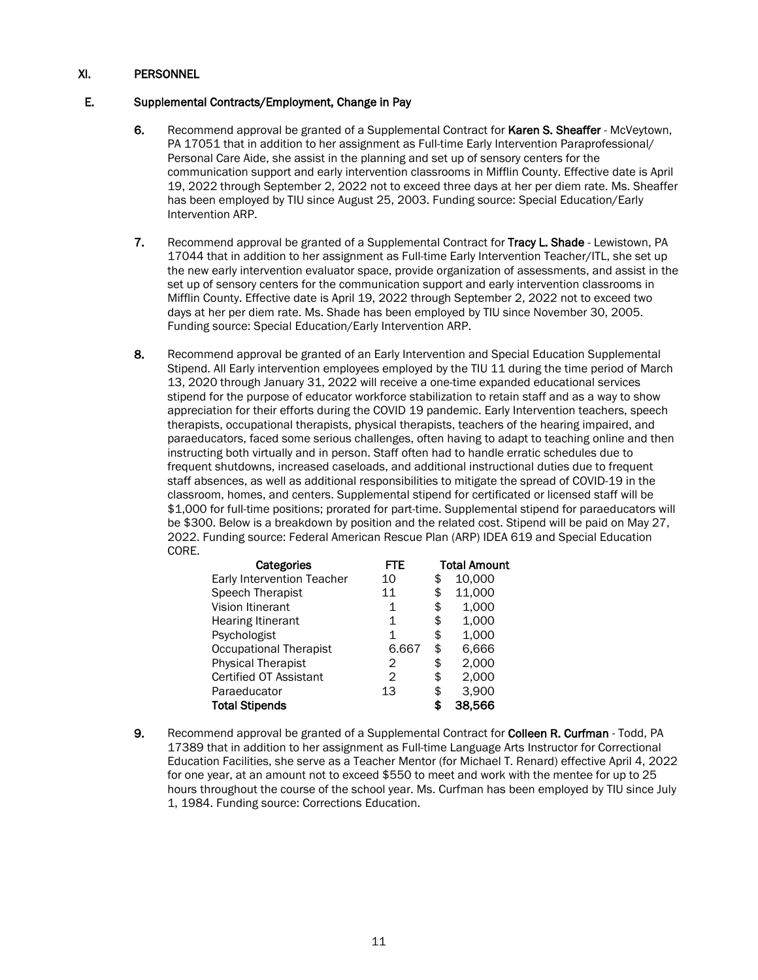## E. Supplemental Contracts/Employment, Change in Pay

- 6. Recommend approval be granted of a Supplemental Contract for Karen S. Sheaffer McVeytown, PA 17051 that in addition to her assignment as Full-time Early Intervention Paraprofessional/ Personal Care Aide, she assist in the planning and set up of sensory centers for the communication support and early intervention classrooms in Mifflin County. Effective date is April 19, 2022 through September 2, 2022 not to exceed three days at her per diem rate. Ms. Sheaffer has been employed by TIU since August 25, 2003. Funding source: Special Education/Early Intervention ARP.
- 7. Recommend approval be granted of a Supplemental Contract for Tracy L. Shade Lewistown, PA 17044 that in addition to her assignment as Full-time Early Intervention Teacher/ITL, she set up the new early intervention evaluator space, provide organization of assessments, and assist in the set up of sensory centers for the communication support and early intervention classrooms in Mifflin County. Effective date is April 19, 2022 through September 2, 2022 not to exceed two days at her per diem rate. Ms. Shade has been employed by TIU since November 30, 2005. Funding source: Special Education/Early Intervention ARP.
- 8. Recommend approval be granted of an Early Intervention and Special Education Supplemental Stipend. All Early intervention employees employed by the TIU 11 during the time period of March 13, 2020 through January 31, 2022 will receive a one-time expanded educational services stipend for the purpose of educator workforce stabilization to retain staff and as a way to show appreciation for their efforts during the COVID 19 pandemic. Early Intervention teachers, speech therapists, occupational therapists, physical therapists, teachers of the hearing impaired, and paraeducators, faced some serious challenges, often having to adapt to teaching online and then instructing both virtually and in person. Staff often had to handle erratic schedules due to frequent shutdowns, increased caseloads, and additional instructional duties due to frequent staff absences, as well as additional responsibilities to mitigate the spread of COVID-19 in the classroom, homes, and centers. Supplemental stipend for certificated or licensed staff will be \$1,000 for full-time positions; prorated for part-time. Supplemental stipend for paraeducators will be \$300. Below is a breakdown by position and the related cost. Stipend will be paid on May 27, 2022. Funding source: Federal American Rescue Plan (ARP) IDEA 619 and Special Education CORE.

| Categories                    | FTE   | <b>Total Amount</b> |        |
|-------------------------------|-------|---------------------|--------|
| Early Intervention Teacher    | 10    | \$                  | 10,000 |
| Speech Therapist              | 11    | \$                  | 11,000 |
| Vision Itinerant              | 1     | \$                  | 1,000  |
| Hearing Itinerant             | 1     | \$                  | 1,000  |
| Psychologist                  | 1     | \$                  | 1,000  |
| <b>Occupational Therapist</b> | 6.667 | \$                  | 6,666  |
| <b>Physical Therapist</b>     | 2     | \$                  | 2,000  |
| Certified OT Assistant        | 2     | \$                  | 2,000  |
| Paraeducator                  | 13    | \$                  | 3,900  |
| <b>Total Stipends</b>         |       | \$                  | 38,566 |

9. Recommend approval be granted of a Supplemental Contract for Colleen R. Curfman - Todd, PA 17389 that in addition to her assignment as Full-time Language Arts Instructor for Correctional Education Facilities, she serve as a Teacher Mentor (for Michael T. Renard) effective April 4, 2022 for one year, at an amount not to exceed \$550 to meet and work with the mentee for up to 25 hours throughout the course of the school year. Ms. Curfman has been employed by TIU since July 1, 1984. Funding source: Corrections Education.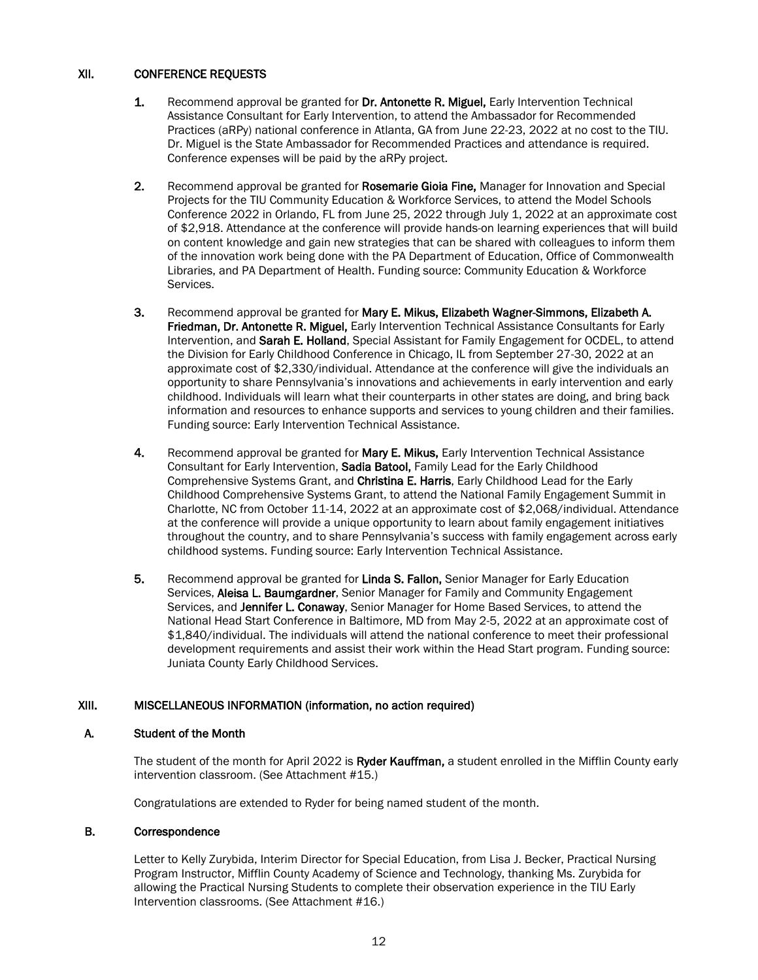## XII. CONFERENCE REQUESTS

- 1. Recommend approval be granted for Dr. Antonette R. Miguel, Early Intervention Technical Assistance Consultant for Early Intervention, to attend the Ambassador for Recommended Practices (aRPy) national conference in Atlanta, GA from June 22-23, 2022 at no cost to the TIU. Dr. Miguel is the State Ambassador for Recommended Practices and attendance is required. Conference expenses will be paid by the aRPy project.
- 2. Recommend approval be granted for Rosemarie Gioia Fine. Manager for Innovation and Special Projects for the TIU Community Education & Workforce Services, to attend the Model Schools Conference 2022 in Orlando, FL from June 25, 2022 through July 1, 2022 at an approximate cost of \$2,918. Attendance at the conference will provide hands-on learning experiences that will build on content knowledge and gain new strategies that can be shared with colleagues to inform them of the innovation work being done with the PA Department of Education, Office of Commonwealth Libraries, and PA Department of Health. Funding source: Community Education & Workforce Services.
- 3. Recommend approval be granted for Mary E. Mikus, Elizabeth Wagner-Simmons, Elizabeth A. Friedman, Dr. Antonette R. Miguel, Early Intervention Technical Assistance Consultants for Early Intervention, and Sarah E. Holland, Special Assistant for Family Engagement for OCDEL, to attend the Division for Early Childhood Conference in Chicago, IL from September 27-30, 2022 at an approximate cost of \$2,330/individual. Attendance at the conference will give the individuals an opportunity to share Pennsylvania's innovations and achievements in early intervention and early childhood. Individuals will learn what their counterparts in other states are doing, and bring back information and resources to enhance supports and services to young children and their families. Funding source: Early Intervention Technical Assistance.
- 4. Recommend approval be granted for Mary E. Mikus, Early Intervention Technical Assistance Consultant for Early Intervention, Sadia Batool, Family Lead for the Early Childhood Comprehensive Systems Grant, and Christina E. Harris, Early Childhood Lead for the Early Childhood Comprehensive Systems Grant, to attend the National Family Engagement Summit in Charlotte, NC from October 11-14, 2022 at an approximate cost of \$2,068/individual. Attendance at the conference will provide a unique opportunity to learn about family engagement initiatives throughout the country, and to share Pennsylvania's success with family engagement across early childhood systems. Funding source: Early Intervention Technical Assistance.
- 5. Recommend approval be granted for Linda S. Fallon, Senior Manager for Early Education Services, Aleisa L. Baumgardner, Senior Manager for Family and Community Engagement Services, and Jennifer L. Conaway, Senior Manager for Home Based Services, to attend the National Head Start Conference in Baltimore, MD from May 2-5, 2022 at an approximate cost of \$1,840/individual. The individuals will attend the national conference to meet their professional development requirements and assist their work within the Head Start program. Funding source: Juniata County Early Childhood Services.

# XIII. MISCELLANEOUS INFORMATION (information, no action required)

### A. Student of the Month

The student of the month for April 2022 is Ryder Kauffman, a student enrolled in the Mifflin County early intervention classroom. (See Attachment #15.)

Congratulations are extended to Ryder for being named student of the month.

### B. Correspondence

Letter to Kelly Zurybida, Interim Director for Special Education, from Lisa J. Becker, Practical Nursing Program Instructor, Mifflin County Academy of Science and Technology, thanking Ms. Zurybida for allowing the Practical Nursing Students to complete their observation experience in the TIU Early Intervention classrooms. (See Attachment #16.)